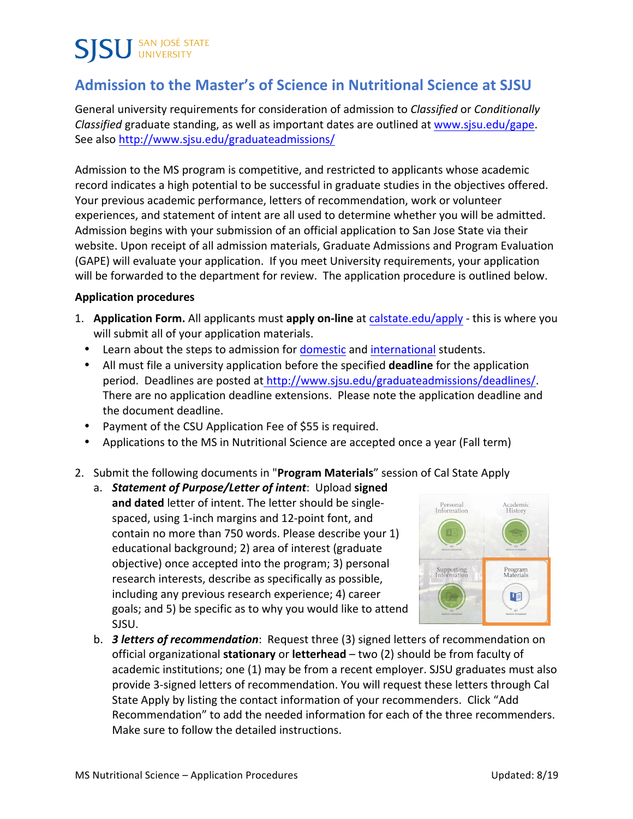# **SISU** SAN JOSÉ STATE

### **Admission to the Master's of Science in Nutritional Science at SJSU**

General university requirements for consideration of admission to *Classified* or *Conditionally Classified* graduate standing, as well as important dates are outlined at www.sjsu.edu/gape. See also http://www.sjsu.edu/graduateadmissions/

Admission to the MS program is competitive, and restricted to applicants whose academic record indicates a high potential to be successful in graduate studies in the objectives offered. Your previous academic performance, letters of recommendation, work or volunteer experiences, and statement of intent are all used to determine whether you will be admitted. Admission begins with your submission of an official application to San Jose State via their website. Upon receipt of all admission materials, Graduate Admissions and Program Evaluation (GAPE) will evaluate your application. If you meet University requirements, your application will be forwarded to the department for review. The application procedure is outlined below.

#### **Application procedures**

- 1. **Application Form.** All applicants must **apply on-line** at **calstate.edu/apply this is where you** will submit all of your application materials.
	- Learn about the steps to admission for domestic and international students.
	- All must file a university application before the specified **deadline** for the application period. Deadlines are posted at http://www.sjsu.edu/graduateadmissions/deadlines/. There are no application deadline extensions. Please note the application deadline and the document deadline.
	- Payment of the CSU Application Fee of \$55 is required.
	- Applications to the MS in Nutritional Science are accepted once a year (Fall term)
- 2. Submit the following documents in "Program Materials" session of Cal State Apply
	- a. **Statement of Purpose/Letter of intent**: Upload signed and dated letter of intent. The letter should be singlespaced, using 1-inch margins and 12-point font, and contain no more than 750 words. Please describe your 1) educational background; 2) area of interest (graduate objective) once accepted into the program; 3) personal research interests, describe as specifically as possible, including any previous research experience; 4) career goals; and 5) be specific as to why you would like to attend SJSU.



b. *3 letters of recommendation*: Request three (3) signed letters of recommendation on official organizational **stationary** or **letterhead** – two (2) should be from faculty of academic institutions; one (1) may be from a recent employer. SJSU graduates must also provide 3-signed letters of recommendation. You will request these letters through Cal State Apply by listing the contact information of your recommenders. Click "Add Recommendation" to add the needed information for each of the three recommenders. Make sure to follow the detailed instructions.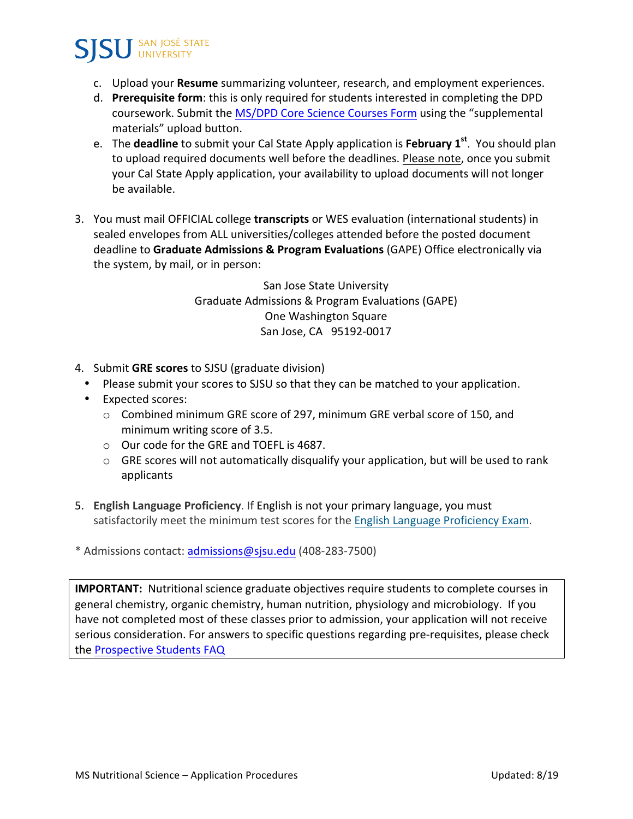

- c. Upload your **Resume** summarizing volunteer, research, and employment experiences.
- d. **Prerequisite form**: this is only required for students interested in completing the DPD coursework. Submit the MS/DPD Core Science Courses Form using the "supplemental materials" upload button.
- e. The **deadline** to submit your Cal State Apply application is February 1<sup>st</sup>. You should plan to upload required documents well before the deadlines. Please note, once you submit your Cal State Apply application, your availability to upload documents will not longer be available.
- 3. You must mail OFFICIAL college transcripts or WES evaluation (international students) in sealed envelopes from ALL universities/colleges attended before the posted document deadline to Graduate Admissions & Program Evaluations (GAPE) Office electronically via the system, by mail, or in person:

San Jose State University Graduate Admissions & Program Evaluations (GAPE) One Washington Square San Jose, CA 95192-0017

- 4. Submit **GRE scores** to SJSU (graduate division)
	- Please submit your scores to SJSU so that they can be matched to your application.
	- Expected scores:
		- o Combined minimum GRE score of 297, minimum GRE verbal score of 150, and minimum writing score of 3.5.
		- $\circ$  Our code for the GRE and TOEFL is 4687.
		- $\circ$  GRE scores will not automatically disqualify your application, but will be used to rank applicants
- 5. **English Language Proficiency**. If English is not your primary language, you must satisfactorily meet the minimum test scores for the English Language Proficiency Exam.

\* Admissions contact: admissions@sjsu.edu (408-283-7500) 

**IMPORTANT:** Nutritional science graduate objectives require students to complete courses in general chemistry, organic chemistry, human nutrition, physiology and microbiology. If you have not completed most of these classes prior to admission, your application will not receive serious consideration. For answers to specific questions regarding pre-requisites, please check the Prospective Students FAQ